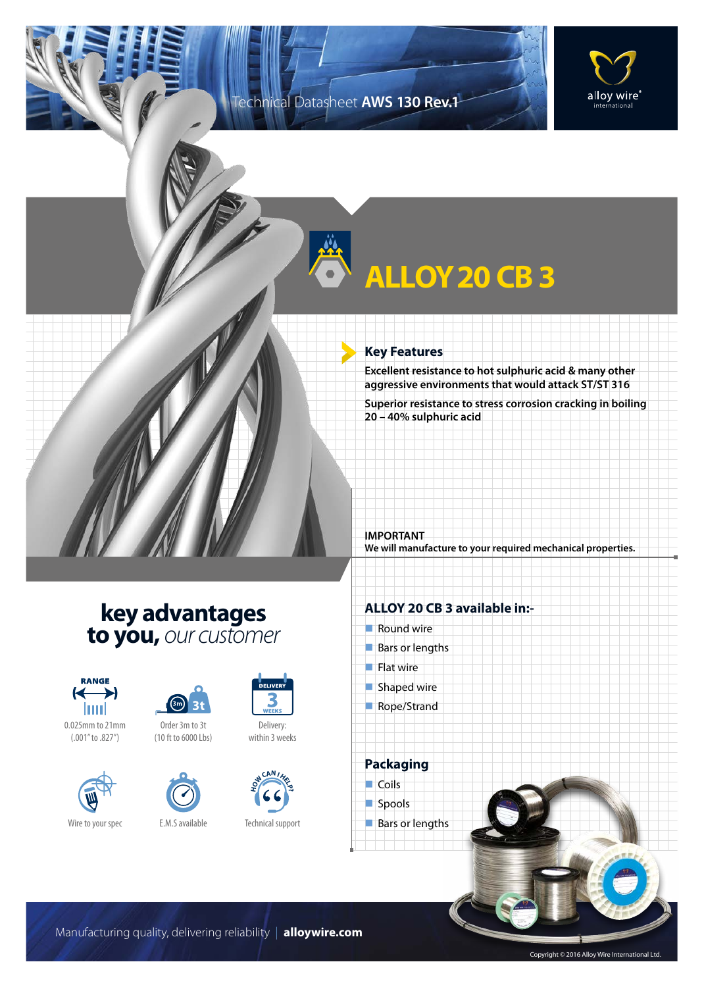### Technical Datasheet **AWS 130 Rev.1**



## **ALLOY20 CB 3**

#### **Key Features**

**Excellent resistance to hot sulphuric acid & many other aggressive environments that would attack ST/ST 316**

**Superior resistance to stress corrosion cracking in boiling 20 – 40% sulphuric acid**

**IMPORTANT We will manufacture to your required mechanical properties.**

## **key advantages to you,** *our customer*









Order 3m to 3t (10 ft to 6000 Lbs)





within 3 weeks



Technical support

#### **ALLOY 20 CB 3 available in:-**

 $\blacksquare$  Round wire  $\blacksquare$  Bars or lengths  $\blacksquare$  Flat wire  $\blacksquare$  Shaped wire Rope/Strand



Bars or lengths

Manufacturing quality, delivering reliability | **alloywire.com**

Copyright © 2016 Alloy Wire International Ltd.